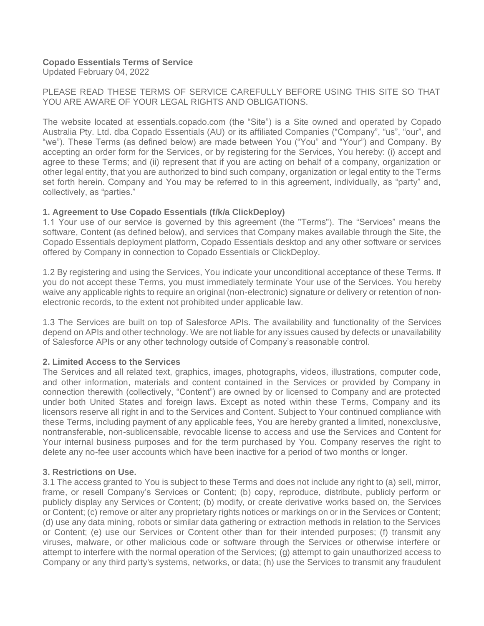### **Copado Essentials Terms of Service**

Updated February 04, 2022

PLEASE READ THESE TERMS OF SERVICE CAREFULLY BEFORE USING THIS SITE SO THAT YOU ARE AWARE OF YOUR LEGAL RIGHTS AND OBLIGATIONS.

The website located at essentials.copado.com (the "Site") is a Site owned and operated by Copado Australia Pty. Ltd. dba Copado Essentials (AU) or its affiliated Companies ("Company", "us", "our", and "we"). These Terms (as defined below) are made between You ("You" and "Your") and Company. By accepting an order form for the Services, or by registering for the Services, You hereby: (i) accept and agree to these Terms; and (ii) represent that if you are acting on behalf of a company, organization or other legal entity, that you are authorized to bind such company, organization or legal entity to the Terms set forth herein. Company and You may be referred to in this agreement, individually, as "party" and, collectively, as "parties."

#### **1. Agreement to Use Copado Essentials (f/k/a ClickDeploy)**

1.1 Your use of our service is governed by this agreement (the "Terms"). The "Services" means the software, Content (as defined below), and services that Company makes available through the Site, the Copado Essentials deployment platform, Copado Essentials desktop and any other software or services offered by Company in connection to Copado Essentials or ClickDeploy.

1.2 By registering and using the Services, You indicate your unconditional acceptance of these Terms. If you do not accept these Terms, you must immediately terminate Your use of the Services. You hereby waive any applicable rights to require an original (non-electronic) signature or delivery or retention of nonelectronic records, to the extent not prohibited under applicable law.

1.3 The Services are built on top of Salesforce APIs. The availability and functionality of the Services depend on APIs and other technology. We are not liable for any issues caused by defects or unavailability of Salesforce APIs or any other technology outside of Company's reasonable control.

#### **2. Limited Access to the Services**

The Services and all related text, graphics, images, photographs, videos, illustrations, computer code, and other information, materials and content contained in the Services or provided by Company in connection therewith (collectively, "Content") are owned by or licensed to Company and are protected under both United States and foreign laws. Except as noted within these Terms, Company and its licensors reserve all right in and to the Services and Content. Subject to Your continued compliance with these Terms, including payment of any applicable fees, You are hereby granted a limited, nonexclusive, nontransferable, non-sublicensable, revocable license to access and use the Services and Content for Your internal business purposes and for the term purchased by You. Company reserves the right to delete any no-fee user accounts which have been inactive for a period of two months or longer.

#### **3. Restrictions on Use.**

3.1 The access granted to You is subject to these Terms and does not include any right to (a) sell, mirror, frame, or resell Company's Services or Content; (b) copy, reproduce, distribute, publicly perform or publicly display any Services or Content; (b) modify, or create derivative works based on, the Services or Content; (c) remove or alter any proprietary rights notices or markings on or in the Services or Content; (d) use any data mining, robots or similar data gathering or extraction methods in relation to the Services or Content; (e) use our Services or Content other than for their intended purposes; (f) transmit any viruses, malware, or other malicious code or software through the Services or otherwise interfere or attempt to interfere with the normal operation of the Services; (g) attempt to gain unauthorized access to Company or any third party's systems, networks, or data; (h) use the Services to transmit any fraudulent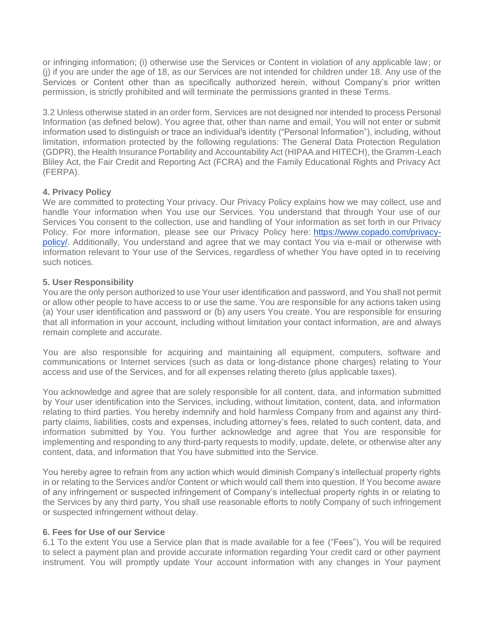or infringing information; (i) otherwise use the Services or Content in violation of any applicable law; or (j) if you are under the age of 18, as our Services are not intended for children under 18. Any use of the Services or Content other than as specifically authorized herein, without Company's prior written permission, is strictly prohibited and will terminate the permissions granted in these Terms.

3.2 Unless otherwise stated in an order form, Services are not designed nor intended to process Personal Information (as defined below). You agree that, other than name and email, You will not enter or submit information used to distinguish or trace an individual's identity ("Personal Information"), including, without limitation, information protected by the following regulations: The General Data Protection Regulation (GDPR), the Health Insurance Portability and Accountability Act (HIPAA and HITECH), the Gramm-Leach Bliley Act, the Fair Credit and Reporting Act (FCRA) and the Family Educational Rights and Privacy Act (FERPA).

## **4. Privacy Policy**

We are committed to protecting Your privacy. Our Privacy Policy explains how we may collect, use and handle Your information when You use our Services. You understand that through Your use of our Services You consent to the collection, use and handling of Your information as set forth in our Privacy Policy. For more information, please see our Privacy Policy here: [https://www.copado.com/privacy](https://www.copado.com/privacy-policy/)[policy/.](https://www.copado.com/privacy-policy/) Additionally, You understand and agree that we may contact You via e-mail or otherwise with information relevant to Your use of the Services, regardless of whether You have opted in to receiving such notices.

### **5. User Responsibility**

You are the only person authorized to use Your user identification and password, and You shall not permit or allow other people to have access to or use the same. You are responsible for any actions taken using (a) Your user identification and password or (b) any users You create. You are responsible for ensuring that all information in your account, including without limitation your contact information, are and always remain complete and accurate.

You are also responsible for acquiring and maintaining all equipment, computers, software and communications or Internet services (such as data or long-distance phone charges) relating to Your access and use of the Services, and for all expenses relating thereto (plus applicable taxes).

You acknowledge and agree that are solely responsible for all content, data, and information submitted by Your user identification into the Services, including, without limitation, content, data, and information relating to third parties. You hereby indemnify and hold harmless Company from and against any thirdparty claims, liabilities, costs and expenses, including attorney's fees, related to such content, data, and information submitted by You. You further acknowledge and agree that You are responsible for implementing and responding to any third-party requests to modify, update, delete, or otherwise alter any content, data, and information that You have submitted into the Service.

You hereby agree to refrain from any action which would diminish Company's intellectual property rights in or relating to the Services and/or Content or which would call them into question. If You become aware of any infringement or suspected infringement of Company's intellectual property rights in or relating to the Services by any third party, You shall use reasonable efforts to notify Company of such infringement or suspected infringement without delay.

#### **6. Fees for Use of our Service**

6.1 To the extent You use a Service plan that is made available for a fee ("Fees"), You will be required to select a payment plan and provide accurate information regarding Your credit card or other payment instrument. You will promptly update Your account information with any changes in Your payment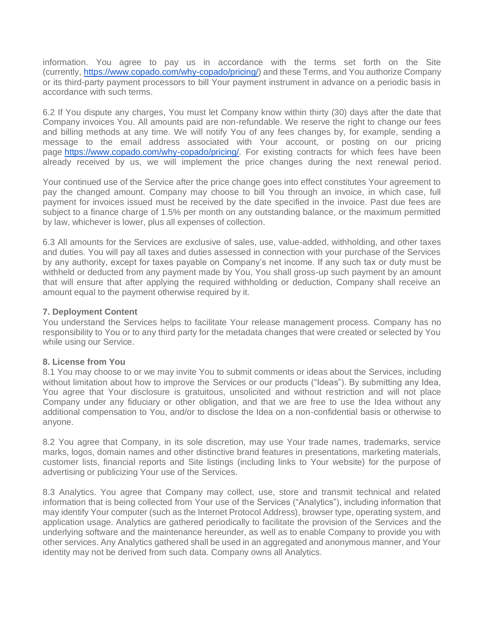information. You agree to pay us in accordance with the terms set forth on the Site (currently, [https://www.copado.com/why-copado/pricing/\)](https://www.copado.com/why-copado/pricing/) and these Terms, and You authorize Company or its third-party payment processors to bill Your payment instrument in advance on a periodic basis in accordance with such terms.

6.2 If You dispute any charges, You must let Company know within thirty (30) days after the date that Company invoices You. All amounts paid are non-refundable. We reserve the right to change our fees and billing methods at any time. We will notify You of any fees changes by, for example, sending a message to the email address associated with Your account, or posting on our pricing page [https://www.copado.com/why-copado/pricing/.](https://www.copado.com/why-copado/pricing/) For existing contracts for which fees have been already received by us, we will implement the price changes during the next renewal period.

Your continued use of the Service after the price change goes into effect constitutes Your agreement to pay the changed amount. Company may choose to bill You through an invoice, in which case, full payment for invoices issued must be received by the date specified in the invoice. Past due fees are subject to a finance charge of 1.5% per month on any outstanding balance, or the maximum permitted by law, whichever is lower, plus all expenses of collection.

6.3 All amounts for the Services are exclusive of sales, use, value-added, withholding, and other taxes and duties. You will pay all taxes and duties assessed in connection with your purchase of the Services by any authority, except for taxes payable on Company's net income. If any such tax or duty must be withheld or deducted from any payment made by You, You shall gross-up such payment by an amount that will ensure that after applying the required withholding or deduction, Company shall receive an amount equal to the payment otherwise required by it.

### **7. Deployment Content**

You understand the Services helps to facilitate Your release management process. Company has no responsibility to You or to any third party for the metadata changes that were created or selected by You while using our Service.

#### **8. License from You**

8.1 You may choose to or we may invite You to submit comments or ideas about the Services, including without limitation about how to improve the Services or our products ("Ideas"). By submitting any Idea, You agree that Your disclosure is gratuitous, unsolicited and without restriction and will not place Company under any fiduciary or other obligation, and that we are free to use the Idea without any additional compensation to You, and/or to disclose the Idea on a non-confidential basis or otherwise to anyone.

8.2 You agree that Company, in its sole discretion, may use Your trade names, trademarks, service marks, logos, domain names and other distinctive brand features in presentations, marketing materials, customer lists, financial reports and Site listings (including links to Your website) for the purpose of advertising or publicizing Your use of the Services.

8.3 Analytics. You agree that Company may collect, use, store and transmit technical and related information that is being collected from Your use of the Services ("Analytics"), including information that may identify Your computer (such as the Internet Protocol Address), browser type, operating system, and application usage. Analytics are gathered periodically to facilitate the provision of the Services and the underlying software and the maintenance hereunder, as well as to enable Company to provide you with other services. Any Analytics gathered shall be used in an aggregated and anonymous manner, and Your identity may not be derived from such data. Company owns all Analytics.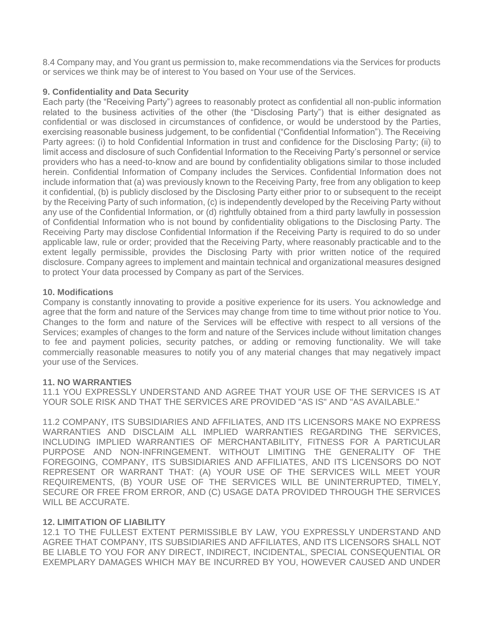8.4 Company may, and You grant us permission to, make recommendations via the Services for products or services we think may be of interest to You based on Your use of the Services.

## **9. Confidentiality and Data Security**

Each party (the "Receiving Party") agrees to reasonably protect as confidential all non-public information related to the business activities of the other (the "Disclosing Party") that is either designated as confidential or was disclosed in circumstances of confidence, or would be understood by the Parties, exercising reasonable business judgement, to be confidential ("Confidential Information"). The Receiving Party agrees: (i) to hold Confidential Information in trust and confidence for the Disclosing Party; (ii) to limit access and disclosure of such Confidential Information to the Receiving Party's personnel or service providers who has a need-to-know and are bound by confidentiality obligations similar to those included herein. Confidential Information of Company includes the Services. Confidential Information does not include information that (a) was previously known to the Receiving Party, free from any obligation to keep it confidential, (b) is publicly disclosed by the Disclosing Party either prior to or subsequent to the receipt by the Receiving Party of such information, (c) is independently developed by the Receiving Party without any use of the Confidential Information, or (d) rightfully obtained from a third party lawfully in possession of Confidential Information who is not bound by confidentiality obligations to the Disclosing Party. The Receiving Party may disclose Confidential Information if the Receiving Party is required to do so under applicable law, rule or order; provided that the Receiving Party, where reasonably practicable and to the extent legally permissible, provides the Disclosing Party with prior written notice of the required disclosure. Company agrees to implement and maintain technical and organizational measures designed to protect Your data processed by Company as part of the Services.

### **10. Modifications**

Company is constantly innovating to provide a positive experience for its users. You acknowledge and agree that the form and nature of the Services may change from time to time without prior notice to You. Changes to the form and nature of the Services will be effective with respect to all versions of the Services; examples of changes to the form and nature of the Services include without limitation changes to fee and payment policies, security patches, or adding or removing functionality. We will take commercially reasonable measures to notify you of any material changes that may negatively impact your use of the Services.

#### **11. NO WARRANTIES**

11.1 YOU EXPRESSLY UNDERSTAND AND AGREE THAT YOUR USE OF THE SERVICES IS AT YOUR SOLE RISK AND THAT THE SERVICES ARE PROVIDED "AS IS" AND "AS AVAILABLE."

11.2 COMPANY, ITS SUBSIDIARIES AND AFFILIATES, AND ITS LICENSORS MAKE NO EXPRESS WARRANTIES AND DISCLAIM ALL IMPLIED WARRANTIES REGARDING THE SERVICES, INCLUDING IMPLIED WARRANTIES OF MERCHANTABILITY, FITNESS FOR A PARTICULAR PURPOSE AND NON-INFRINGEMENT. WITHOUT LIMITING THE GENERALITY OF THE FOREGOING, COMPANY, ITS SUBSIDIARIES AND AFFILIATES, AND ITS LICENSORS DO NOT REPRESENT OR WARRANT THAT: (A) YOUR USE OF THE SERVICES WILL MEET YOUR REQUIREMENTS, (B) YOUR USE OF THE SERVICES WILL BE UNINTERRUPTED, TIMELY, SECURE OR FREE FROM ERROR, AND (C) USAGE DATA PROVIDED THROUGH THE SERVICES WILL BE ACCURATE.

## **12. LIMITATION OF LIABILITY**

12.1 TO THE FULLEST EXTENT PERMISSIBLE BY LAW, YOU EXPRESSLY UNDERSTAND AND AGREE THAT COMPANY, ITS SUBSIDIARIES AND AFFILIATES, AND ITS LICENSORS SHALL NOT BE LIABLE TO YOU FOR ANY DIRECT, INDIRECT, INCIDENTAL, SPECIAL CONSEQUENTIAL OR EXEMPLARY DAMAGES WHICH MAY BE INCURRED BY YOU, HOWEVER CAUSED AND UNDER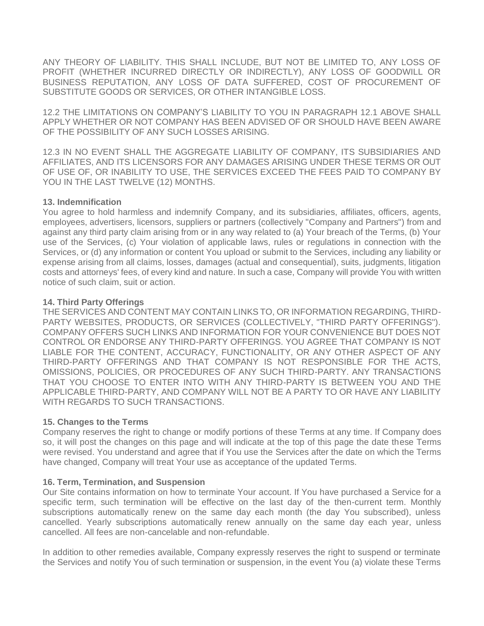ANY THEORY OF LIABILITY. THIS SHALL INCLUDE, BUT NOT BE LIMITED TO, ANY LOSS OF PROFIT (WHETHER INCURRED DIRECTLY OR INDIRECTLY), ANY LOSS OF GOODWILL OR BUSINESS REPUTATION, ANY LOSS OF DATA SUFFERED, COST OF PROCUREMENT OF SUBSTITUTE GOODS OR SERVICES, OR OTHER INTANGIBLE LOSS.

12.2 THE LIMITATIONS ON COMPANY'S LIABILITY TO YOU IN PARAGRAPH 12.1 ABOVE SHALL APPLY WHETHER OR NOT COMPANY HAS BEEN ADVISED OF OR SHOULD HAVE BEEN AWARE OF THE POSSIBILITY OF ANY SUCH LOSSES ARISING.

12.3 IN NO EVENT SHALL THE AGGREGATE LIABILITY OF COMPANY, ITS SUBSIDIARIES AND AFFILIATES, AND ITS LICENSORS FOR ANY DAMAGES ARISING UNDER THESE TERMS OR OUT OF USE OF, OR INABILITY TO USE, THE SERVICES EXCEED THE FEES PAID TO COMPANY BY YOU IN THE LAST TWELVE (12) MONTHS.

## **13. Indemnification**

You agree to hold harmless and indemnify Company, and its subsidiaries, affiliates, officers, agents, employees, advertisers, licensors, suppliers or partners (collectively "Company and Partners") from and against any third party claim arising from or in any way related to (a) Your breach of the Terms, (b) Your use of the Services, (c) Your violation of applicable laws, rules or regulations in connection with the Services, or (d) any information or content You upload or submit to the Services, including any liability or expense arising from all claims, losses, damages (actual and consequential), suits, judgments, litigation costs and attorneys' fees, of every kind and nature. In such a case, Company will provide You with written notice of such claim, suit or action.

### **14. Third Party Offerings**

THE SERVICES AND CONTENT MAY CONTAIN LINKS TO, OR INFORMATION REGARDING, THIRD-PARTY WEBSITES, PRODUCTS, OR SERVICES (COLLECTIVELY, "THIRD PARTY OFFERINGS"). COMPANY OFFERS SUCH LINKS AND INFORMATION FOR YOUR CONVENIENCE BUT DOES NOT CONTROL OR ENDORSE ANY THIRD-PARTY OFFERINGS. YOU AGREE THAT COMPANY IS NOT LIABLE FOR THE CONTENT, ACCURACY, FUNCTIONALITY, OR ANY OTHER ASPECT OF ANY THIRD-PARTY OFFERINGS AND THAT COMPANY IS NOT RESPONSIBLE FOR THE ACTS, OMISSIONS, POLICIES, OR PROCEDURES OF ANY SUCH THIRD-PARTY. ANY TRANSACTIONS THAT YOU CHOOSE TO ENTER INTO WITH ANY THIRD-PARTY IS BETWEEN YOU AND THE APPLICABLE THIRD-PARTY, AND COMPANY WILL NOT BE A PARTY TO OR HAVE ANY LIABILITY WITH REGARDS TO SUCH TRANSACTIONS.

## **15. Changes to the Terms**

Company reserves the right to change or modify portions of these Terms at any time. If Company does so, it will post the changes on this page and will indicate at the top of this page the date these Terms were revised. You understand and agree that if You use the Services after the date on which the Terms have changed, Company will treat Your use as acceptance of the updated Terms.

#### **16. Term, Termination, and Suspension**

Our Site contains information on how to terminate Your account. If You have purchased a Service for a specific term, such termination will be effective on the last day of the then-current term. Monthly subscriptions automatically renew on the same day each month (the day You subscribed), unless cancelled. Yearly subscriptions automatically renew annually on the same day each year, unless cancelled. All fees are non-cancelable and non-refundable.

In addition to other remedies available, Company expressly reserves the right to suspend or terminate the Services and notify You of such termination or suspension, in the event You (a) violate these Terms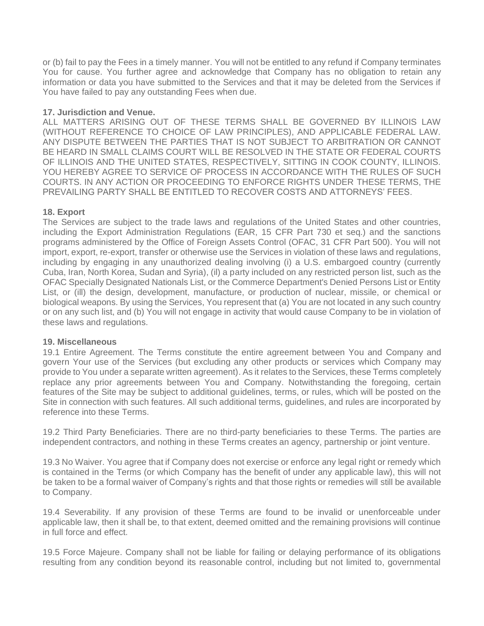or (b) fail to pay the Fees in a timely manner. You will not be entitled to any refund if Company terminates You for cause. You further agree and acknowledge that Company has no obligation to retain any information or data you have submitted to the Services and that it may be deleted from the Services if You have failed to pay any outstanding Fees when due.

# **17. Jurisdiction and Venue.**

ALL MATTERS ARISING OUT OF THESE TERMS SHALL BE GOVERNED BY ILLINOIS LAW (WITHOUT REFERENCE TO CHOICE OF LAW PRINCIPLES), AND APPLICABLE FEDERAL LAW. ANY DISPUTE BETWEEN THE PARTIES THAT IS NOT SUBJECT TO ARBITRATION OR CANNOT BE HEARD IN SMALL CLAIMS COURT WILL BE RESOLVED IN THE STATE OR FEDERAL COURTS OF ILLINOIS AND THE UNITED STATES, RESPECTIVELY, SITTING IN COOK COUNTY, ILLINOIS. YOU HEREBY AGREE TO SERVICE OF PROCESS IN ACCORDANCE WITH THE RULES OF SUCH COURTS. IN ANY ACTION OR PROCEEDING TO ENFORCE RIGHTS UNDER THESE TERMS, THE PREVAILING PARTY SHALL BE ENTITLED TO RECOVER COSTS AND ATTORNEYS' FEES.

## **18. Export**

The Services are subject to the trade laws and regulations of the United States and other countries, including the Export Administration Regulations (EAR, 15 CFR Part 730 et seq.) and the sanctions programs administered by the Office of Foreign Assets Control (OFAC, 31 CFR Part 500). You will not import, export, re-export, transfer or otherwise use the Services in violation of these laws and regulations, including by engaging in any unauthorized dealing involving (i) a U.S. embargoed country (currently Cuba, Iran, North Korea, Sudan and Syria), (il) a party included on any restricted person list, such as the OFAC Specially Designated Nationals List, or the Commerce Department's Denied Persons List or Entity List, or (ill) the design, development, manufacture, or production of nuclear, missile, or chemical or biological weapons. By using the Services, You represent that (a) You are not located in any such country or on any such list, and (b) You will not engage in activity that would cause Company to be in violation of these laws and regulations.

## **19. Miscellaneous**

19.1 Entire Agreement. The Terms constitute the entire agreement between You and Company and govern Your use of the Services (but excluding any other products or services which Company may provide to You under a separate written agreement). As it relates to the Services, these Terms completely replace any prior agreements between You and Company. Notwithstanding the foregoing, certain features of the Site may be subject to additional guidelines, terms, or rules, which will be posted on the Site in connection with such features. All such additional terms, guidelines, and rules are incorporated by reference into these Terms.

19.2 Third Party Beneficiaries. There are no third-party beneficiaries to these Terms. The parties are independent contractors, and nothing in these Terms creates an agency, partnership or joint venture.

19.3 No Waiver. You agree that if Company does not exercise or enforce any legal right or remedy which is contained in the Terms (or which Company has the benefit of under any applicable law), this will not be taken to be a formal waiver of Company's rights and that those rights or remedies will still be available to Company.

19.4 Severability. If any provision of these Terms are found to be invalid or unenforceable under applicable law, then it shall be, to that extent, deemed omitted and the remaining provisions will continue in full force and effect.

19.5 Force Majeure. Company shall not be liable for failing or delaying performance of its obligations resulting from any condition beyond its reasonable control, including but not limited to, governmental